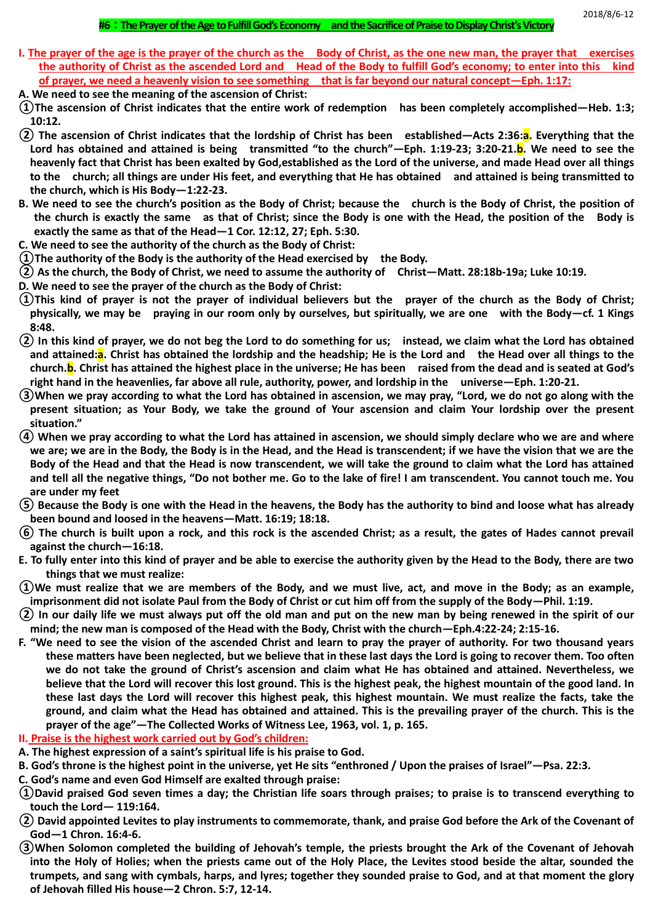# **#6**:**The Prayer of the Age to Fulfill God's Economy and the Sacrifice of Praise to Display Christ's Victory**

- **I. The prayer of the age is the prayer of the church as the Body of Christ, as the one new man, the prayer that exercises the authority of Christ as the ascended Lord and Head of the Body to fulfill God's economy; to enter into this kind of prayer, we need a heavenly vision to see something that is far beyond our natural concept—Eph. 1:17:**
- **A. We need to see the meaning of the ascension of Christ:**
- **①The ascension of Christ indicates that the entire work of redemption has been completely accomplished—Heb. 1:3; 10:12.**
- **② The ascension of Christ indicates that the lordship of Christ has been established—Acts 2:36:a. Everything that the Lord has obtained and attained is being transmitted "to the church"—Eph. 1:19-23; 3:20-21.b. We need to see the heavenly fact that Christ has been exalted by God,established as the Lord of the universe, and made Head over all things to the church; all things are under His feet, and everything that He has obtained and attained is being transmitted to the church, which is His Body—1:22-23.**
- **B. We need to see the church's position as the Body of Christ; because the church is the Body of Christ, the position of the church is exactly the same as that of Christ; since the Body is one with the Head, the position of the Body is exactly the same as that of the Head—1 Cor. 12:12, 27; Eph. 5:30.**
- **C. We need to see the authority of the church as the Body of Christ:**
- **①The authority of the Body is the authority of the Head exercised by the Body.**
- **② As the church, the Body of Christ, we need to assume the authority of Christ—Matt. 28:18b-19a; Luke 10:19.**
- **D. We need to see the prayer of the church as the Body of Christ:**
- **①This kind of prayer is not the prayer of individual believers but the prayer of the church as the Body of Christ; physically, we may be praying in our room only by ourselves, but spiritually, we are one with the Body—cf. 1 Kings 8:48.**
- **② In this kind of prayer, we do not beg the Lord to do something for us; instead, we claim what the Lord has obtained and attained:a. Christ has obtained the lordship and the headship; He is the Lord and the Head over all things to the church.b. Christ has attained the highest place in the universe; He has been raised from the dead and is seated at God's right hand in the heavenlies, far above all rule, authority, power, and lordship in the universe—Eph. 1:20-21.**
- **③When we pray according to what the Lord has obtained in ascension, we may pray, "Lord, we do not go along with the present situation; as Your Body, we take the ground of Your ascension and claim Your lordship over the present situation."**
- **④ When we pray according to what the Lord has attained in ascension, we should simply declare who we are and where we are; we are in the Body, the Body is in the Head, and the Head is transcendent; if we have the vision that we are the Body of the Head and that the Head is now transcendent, we will take the ground to claim what the Lord has attained and tell all the negative things, "Do not bother me. Go to the lake of fire! I am transcendent. You cannot touch me. You are under my feet**
- **⑤ Because the Body is one with the Head in the heavens, the Body has the authority to bind and loose what has already been bound and loosed in the heavens—Matt. 16:19; 18:18.**
- **⑥ The church is built upon a rock, and this rock is the ascended Christ; as a result, the gates of Hades cannot prevail against the church—16:18.**
- **E. To fully enter into this kind of prayer and be able to exercise the authority given by the Head to the Body, there are two things that we must realize:**
- **①We must realize that we are members of the Body, and we must live, act, and move in the Body; as an example, imprisonment did not isolate Paul from the Body of Christ or cut him off from the supply of the Body—Phil. 1:19.**
- **② In our daily life we must always put off the old man and put on the new man by being renewed in the spirit of our mind; the new man is composed of the Head with the Body, Christ with the church—Eph.4:22-24; 2:15-16.**
- **F. "We need to see the vision of the ascended Christ and learn to pray the prayer of authority. For two thousand years these matters have been neglected, but we believe that in these last days the Lord is going to recover them. Too often we do not take the ground of Christ's ascension and claim what He has obtained and attained. Nevertheless, we believe that the Lord will recover this lost ground. This is the highest peak, the highest mountain of the good land. In these last days the Lord will recover this highest peak, this highest mountain. We must realize the facts, take the ground, and claim what the Head has obtained and attained. This is the prevailing prayer of the church. This is the prayer of the age"—The Collected Works of Witness Lee, 1963, vol. 1, p. 165.**
- **II. Praise is the highest work carried out by God's children:**
- **A. The highest expression of a saint's spiritual life is his praise to God.**
- **B. God's throne is the highest point in the universe, yet He sits "enthroned / Upon the praises of Israel"—Psa. 22:3.**
- **C. God's name and even God Himself are exalted through praise:**
- **①David praised God seven times a day; the Christian life soars through praises; to praise is to transcend everything to touch the Lord— 119:164.**
- **② David appointed Levites to play instruments to commemorate, thank, and praise God before the Ark of the Covenant of God—1 Chron. 16:4-6.**
- **③When Solomon completed the building of Jehovah's temple, the priests brought the Ark of the Covenant of Jehovah into the Holy of Holies; when the priests came out of the Holy Place, the Levites stood beside the altar, sounded the trumpets, and sang with cymbals, harps, and lyres; together they sounded praise to God, and at that moment the glory of Jehovah filled His house—2 Chron. 5:7, 12-14.**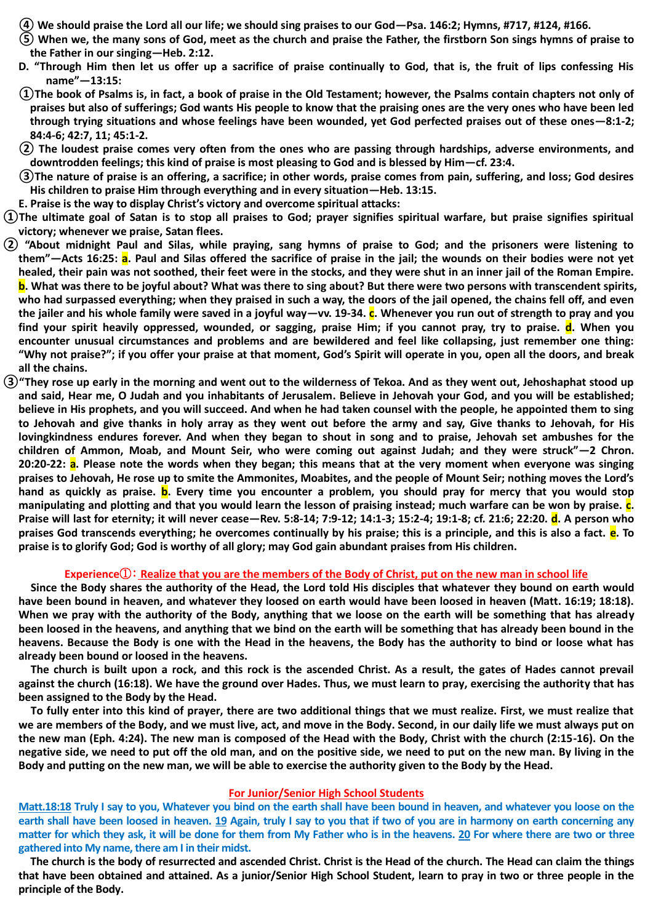- **④ We should praise the Lord all our life; we should sing praises to our God—Psa. 146:2; Hymns, #717, #124, #166.**
- **⑤ When we, the many sons of God, meet as the church and praise the Father, the firstborn Son sings hymns of praise to the Father in our singing—Heb. 2:12.**
- **D. "Through Him then let us offer up a sacrifice of praise continually to God, that is, the fruit of lips confessing His name"—13:15:**
- **①The book of Psalms is, in fact, a book of praise in the Old Testament; however, the Psalms contain chapters not only of praises but also of sufferings; God wants His people to know that the praising ones are the very ones who have been led through trying situations and whose feelings have been wounded, yet God perfected praises out of these ones—8:1-2; 84:4-6; 42:7, 11; 45:1-2.**
- **② The loudest praise comes very often from the ones who are passing through hardships, adverse environments, and downtrodden feelings; this kind of praise is most pleasing to God and is blessed by Him—cf. 23:4.**
- **③The nature of praise is an offering, a sacrifice; in other words, praise comes from pain, suffering, and loss; God desires His children to praise Him through everything and in every situation—Heb. 13:15.**
- **E. Praise is the way to display Christ's victory and overcome spiritual attacks:**
- **①The ultimate goal of Satan is to stop all praises to God; prayer signifies spiritual warfare, but praise signifies spiritual victory; whenever we praise, Satan flees.**
- **② "About midnight Paul and Silas, while praying, sang hymns of praise to God; and the prisoners were listening to them"—Acts 16:25: a. Paul and Silas offered the sacrifice of praise in the jail; the wounds on their bodies were not yet healed, their pain was not soothed, their feet were in the stocks, and they were shut in an inner jail of the Roman Empire. b. What was there to be joyful about? What was there to sing about? But there were two persons with transcendent spirits, who had surpassed everything; when they praised in such a way, the doors of the jail opened, the chains fell off, and even the jailer and his whole family were saved in a joyful way—vv. 19-34. c. Whenever you run out of strength to pray and you find your spirit heavily oppressed, wounded, or sagging, praise Him; if you cannot pray, try to praise. d. When you encounter unusual circumstances and problems and are bewildered and feel like collapsing, just remember one thing: "Why not praise?"; if you offer your praise at that moment, God's Spirit will operate in you, open all the doors, and break all the chains.**
- **③"They rose up early in the morning and went out to the wilderness of Tekoa. And as they went out, Jehoshaphat stood up and said, Hear me, O Judah and you inhabitants of Jerusalem. Believe in Jehovah your God, and you will be established; believe in His prophets, and you will succeed. And when he had taken counsel with the people, he appointed them to sing to Jehovah and give thanks in holy array as they went out before the army and say, Give thanks to Jehovah, for His lovingkindness endures forever. And when they began to shout in song and to praise, Jehovah set ambushes for the children of Ammon, Moab, and Mount Seir, who were coming out against Judah; and they were struck"—2 Chron. 20:20-22: a. Please note the words when they began; this means that at the very moment when everyone was singing praises to Jehovah, He rose up to smite the Ammonites, Moabites, and the people of Mount Seir; nothing moves the Lord's hand as quickly as praise. b. Every time you encounter a problem, you should pray for mercy that you would stop manipulating and plotting and that you would learn the lesson of praising instead; much warfare can be won by praise. c. Praise will last for eternity; it will never cease—Rev. 5:8-14; 7:9-12; 14:1-3; 15:2-4; 19:1-8; cf. 21:6; 22:20. d. A person who praises God transcends everything; he overcomes continually by his praise; this is a principle, and this is also a fact. e. To praise is to glorify God; God is worthy of all glory; may God gain abundant praises from His children.**

# **Experience**①: **Realize that you are the members of the Body of Christ, put on the new man in school life**

**Since the Body shares the authority of the Head, the Lord told His disciples that whatever they bound on earth would have been bound in heaven, and whatever they loosed on earth would have been loosed in heaven (Matt. 16:19; 18:18). When we pray with the authority of the Body, anything that we loose on the earth will be something that has already been loosed in the heavens, and anything that we bind on the earth will be something that has already been bound in the heavens. Because the Body is one with the Head in the heavens, the Body has the authority to bind or loose what has already been bound or loosed in the heavens.**

**The church is built upon a rock, and this rock is the ascended Christ. As a result, the gates of Hades cannot prevail against the church (16:18). We have the ground over Hades. Thus, we must learn to pray, exercising the authority that has been assigned to the Body by the Head.**

**To fully enter into this kind of prayer, there are two additional things that we must realize. First, we must realize that we are members of the Body, and we must live, act, and move in the Body. Second, in our daily life we must always put on the new man (Eph. 4:24). The new man is composed of the Head with the Body, Christ with the church (2:15-16). On the negative side, we need to put off the old man, and on the positive side, we need to put on the new man. By living in the Body and putting on the new man, we will be able to exercise the authority given to the Body by the Head.**

#### **For Junior/Senior High School Students**

**Matt.18:18 Truly I say to you, Whatever you bind on the earth shall have been bound in heaven, and whatever you loose on the earth shall have been loosed in heaven. 19 Again, truly I say to you that if two of you are in harmony on earth concerning any matter for which they ask, it will be done for them from My Father who is in the heavens. 20 For where there are two or three gathered into My name, there am I in their midst.**

**The church is the body of resurrected and ascended Christ. Christ is the Head of the church. The Head can claim the things that have been obtained and attained. As a junior/Senior High School Student, learn to pray in two or three people in the principle of the Body.**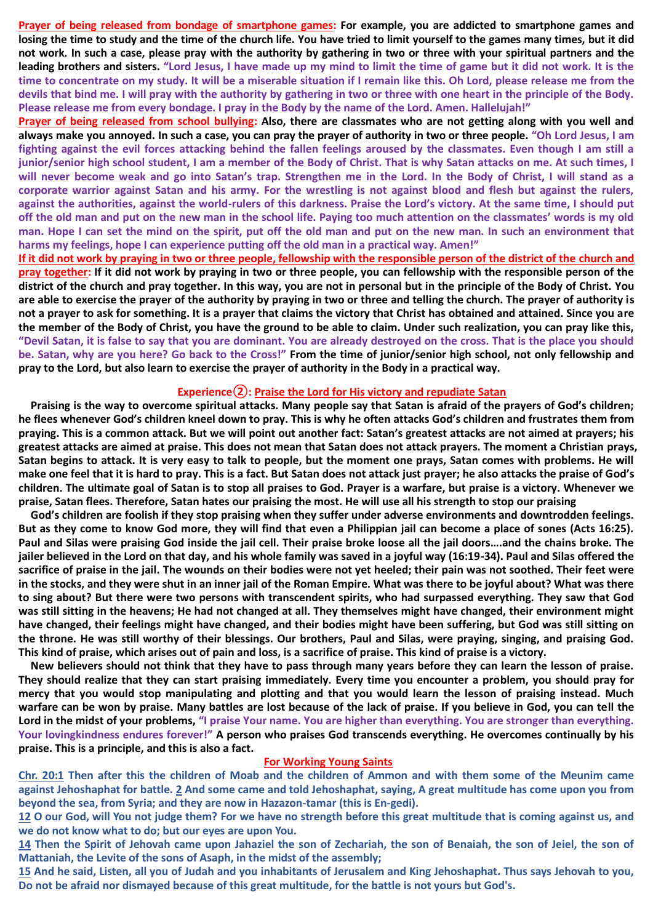**Prayer of being released from bondage of smartphone games: For example, you are addicted to smartphone games and losing the time to study and the time of the church life. You have tried to limit yourself to the games many times, but it did not work. In such a case, please pray with the authority by gathering in two or three with your spiritual partners and the leading brothers and sisters. "Lord Jesus, I have made up my mind to limit the time of game but it did not work. It is the time to concentrate on my study. It will be a miserable situation if I remain like this. Oh Lord, please release me from the devils that bind me. I will pray with the authority by gathering in two or three with one heart in the principle of the Body. Please release me from every bondage. I pray in the Body by the name of the Lord. Amen. Hallelujah!"**

**Prayer of being released from school bullying: Also, there are classmates who are not getting along with you well and always make you annoyed. In such a case, you can pray the prayer of authority in two or three people. "Oh Lord Jesus, I am fighting against the evil forces attacking behind the fallen feelings aroused by the classmates. Even though I am still a junior/senior high school student, I am a member of the Body of Christ. That is why Satan attacks on me. At such times, I will never become weak and go into Satan's trap. Strengthen me in the Lord. In the Body of Christ, I will stand as a corporate warrior against Satan and his army. For the wrestling is not against blood and flesh but against the rulers, against the authorities, against the world-rulers of this darkness. Praise the Lord's victory. At the same time, I should put off the old man and put on the new man in the school life. Paying too much attention on the classmates' words is my old man. Hope I can set the mind on the spirit, put off the old man and put on the new man. In such an environment that harms my feelings, hope I can experience putting off the old man in a practical way. Amen!"**

**If it did not work by praying in two or three people, fellowship with the responsible person of the district of the church and pray together: If it did not work by praying in two or three people, you can fellowship with the responsible person of the district of the church and pray together. In this way, you are not in personal but in the principle of the Body of Christ. You are able to exercise the prayer of the authority by praying in two or three and telling the church. The prayer of authority is not a prayer to ask for something. It is a prayer that claims the victory that Christ has obtained and attained. Since you are the member of the Body of Christ, you have the ground to be able to claim. Under such realization, you can pray like this, "Devil Satan, it is false to say that you are dominant. You are already destroyed on the cross. That is the place you should be. Satan, why are you here? Go back to the Cross!" From the time of junior/senior high school, not only fellowship and pray to the Lord, but also learn to exercise the prayer of authority in the Body in a practical way.**

# **Experience②: Praise the Lord for His victory and repudiate Satan**

**Praising is the way to overcome spiritual attacks. Many people say that Satan is afraid of the prayers of God's children; he flees whenever God's children kneel down to pray. This is why he often attacks God's children and frustrates them from praying. This is a common attack. But we will point out another fact: Satan's greatest attacks are not aimed at prayers; his greatest attacks are aimed at praise. This does not mean that Satan does not attack prayers. The moment a Christian prays, Satan begins to attack. It is very easy to talk to people, but the moment one prays, Satan comes with problems. He will make one feel that it is hard to pray. This is a fact. But Satan does not attack just prayer; he also attacks the praise of God's children. The ultimate goal of Satan is to stop all praises to God. Prayer is a warfare, but praise is a victory. Whenever we praise, Satan flees. Therefore, Satan hates our praising the most. He will use all his strength to stop our praising**

**God's children are foolish if they stop praising when they suffer under adverse environments and downtrodden feelings. But as they come to know God more, they will find that even a Philippian jail can become a place of sones (Acts 16:25). Paul and Silas were praising God inside the jail cell. Their praise broke loose all the jail doors….and the chains broke. The jailer believed in the Lord on that day, and his whole family was saved in a joyful way (16:19-34). Paul and Silas offered the sacrifice of praise in the jail. The wounds on their bodies were not yet heeled; their pain was not soothed. Their feet were in the stocks, and they were shut in an inner jail of the Roman Empire. What was there to be joyful about? What was there to sing about? But there were two persons with transcendent spirits, who had surpassed everything. They saw that God was still sitting in the heavens; He had not changed at all. They themselves might have changed, their environment might have changed, their feelings might have changed, and their bodies might have been suffering, but God was still sitting on the throne. He was still worthy of their blessings. Our brothers, Paul and Silas, were praying, singing, and praising God. This kind of praise, which arises out of pain and loss, is a sacrifice of praise. This kind of praise is a victory.**

**New believers should not think that they have to pass through many years before they can learn the lesson of praise. They should realize that they can start praising immediately. Every time you encounter a problem, you should pray for mercy that you would stop manipulating and plotting and that you would learn the lesson of praising instead. Much warfare can be won by praise. Many battles are lost because of the lack of praise. If you believe in God, you can tell the Lord in the midst of your problems, "I praise Your name. You are higher than everything. You are stronger than everything. Your lovingkindness endures forever!" A person who praises God transcends everything. He overcomes continually by his praise. This is a principle, and this is also a fact.**

### **For Working Young Saints**

**Chr. 20:1 Then after this the children of Moab and the children of Ammon and with them some of the Meunim came against Jehoshaphat for battle. 2 And some came and told Jehoshaphat, saying, A great multitude has come upon you from beyond the sea, from Syria; and they are now in Hazazon-tamar (this is En-gedi).** 

**12 O our God, will You not judge them? For we have no strength before this great multitude that is coming against us, and we do not know what to do; but our eyes are upon You.**

**14 Then the Spirit of Jehovah came upon Jahaziel the son of Zechariah, the son of Benaiah, the son of Jeiel, the son of Mattaniah, the Levite of the sons of Asaph, in the midst of the assembly;**

**15 And he said, Listen, all you of Judah and you inhabitants of Jerusalem and King Jehoshaphat. Thus says Jehovah to you, Do not be afraid nor dismayed because of this great multitude, for the battle is not yours but God's.**